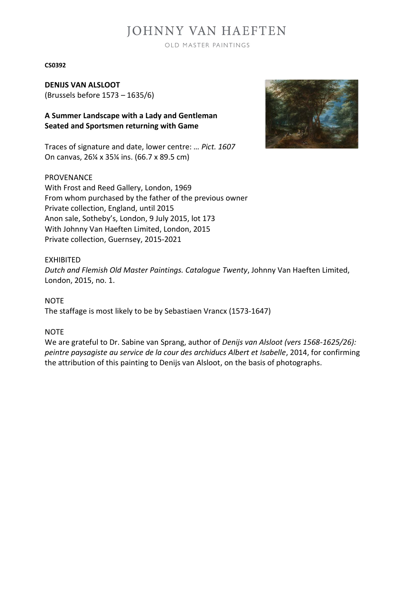# **JOHNNY VAN HAEFTEN**

OLD MASTER PAINTINGS

#### **CS0392**

**DENIJS VAN ALSLOOT** (Brussels before 1573 – 1635/6)

**A Summer Landscape with a Lady and Gentleman Seated and Sportsmen returning with Game**

Traces of signature and date, lower centre: *… Pict. 1607* On canvas, 26¼ x 35¼ ins. (66.7 x 89.5 cm)

#### PROVENANCE

With Frost and Reed Gallery, London, 1969 From whom purchased by the father of the previous owner Private collection, England, until 2015 Anon sale, Sotheby's, London, 9 July 2015, lot 173 With Johnny Van Haeften Limited, London, 2015 Private collection, Guernsey, 2015-2021

#### EXHIBITED

*Dutch and Flemish Old Master Paintings. Catalogue Twenty*, Johnny Van Haeften Limited, London, 2015, no. 1.

**NOTE** 

The staffage is most likely to be by Sebastiaen Vrancx (1573-1647)

### NOTE

We are grateful to Dr. Sabine van Sprang, author of *Denijs van Alsloot (vers 1568-1625/26): peintre paysagiste au service de la cour des archiducs Albert et Isabelle*, 2014, for confirming the attribution of this painting to Denijs van Alsloot, on the basis of photographs.

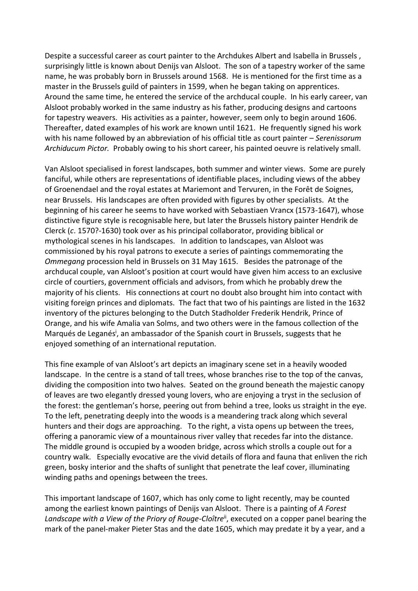Despite a successful career as court painter to the Archdukes Albert and Isabella in Brussels , surprisingly little is known about Denijs van Alsloot. The son of a tapestry worker of the same name, he was probably born in Brussels around 1568. He is mentioned for the first time as a master in the Brussels guild of painters in 1599, when he began taking on apprentices. Around the same time, he entered the service of the archducal couple. In his early career, van Alsloot probably worked in the same industry as his father, producing designs and cartoons for tapestry weavers. His activities as a painter, however, seem only to begin around 1606. Thereafter, dated examples of his work are known until 1621. He frequently signed his work with his name followed by an abbreviation of his official title as court painter – *Serenissorum Archiducum Pictor.* Probably owing to his short career, his painted oeuvre is relatively small.

Van Alsloot specialised in forest landscapes, both summer and winter views. Some are purely fanciful, while others are representations of identifiable places, including views of the abbey of Groenendael and the royal estates at Mariemont and Tervuren, in the Forêt de Soignes, near Brussels. His landscapes are often provided with figures by other specialists. At the beginning of his career he seems to have worked with Sebastiaen Vrancx (1573-1647), whose distinctive figure style is recognisable here, but later the Brussels history painter Hendrik de Clerck (*c*. 1570?-1630) took over as his principal collaborator, providing biblical or mythological scenes in his landscapes. In addition to landscapes, van Alsloot was commissioned by his royal patrons to execute a series of paintings commemorating the *Ommegang* procession held in Brussels on 31 May 1615. Besides the patronage of the archducal couple, van Alsloot's position at court would have given him access to an exclusive circle of courtiers, government officials and advisors, from which he probably drew the majority of his clients. His connections at court no doubt also brought him into contact with visiting foreign princes and diplomats. The fact that two of his paintings are listed in the 1632 inventory of the pictures belonging to the Dutch Stadholder Frederik Hendrik, Prince of Orange, and his wife Amalia van Solms, and two others were in the famous collection of the Marqués de Leganés<sup>i</sup>, an ambassador of the Spanish court in Brussels, suggests that he enjoyed something of an international reputation.

This fine example of van Alsloot's art depicts an imaginary scene set in a heavily wooded landscape. In the centre is a stand of tall trees, whose branches rise to the top of the canvas, dividing the composition into two halves. Seated on the ground beneath the majestic canopy of leaves are two elegantly dressed young lovers, who are enjoying a tryst in the seclusion of the forest: the gentleman's horse, peering out from behind a tree, looks us straight in the eye. To the left, penetrating deeply into the woods is a meandering track along which several hunters and their dogs are approaching. To the right, a vista opens up between the trees, offering a panoramic view of a mountainous river valley that recedes far into the distance. The middle ground is occupied by a wooden bridge, across which strolls a couple out for a country walk. Especially evocative are the vivid details of flora and fauna that enliven the rich green, bosky interior and the shafts of sunlight that penetrate the leaf cover, illuminating winding paths and openings between the trees.

This important landscape of 1607, which has only come to light recently, may be counted among the earliest known paintings of Denijs van Alsloot. There is a painting of *A Forest*  Landscape with a View of the Priory of Rouge-Cloître<sup>ii</sup>, executed on a copper panel bearing the mark of the panel-maker Pieter Stas and the date 1605, which may predate it by a year, and a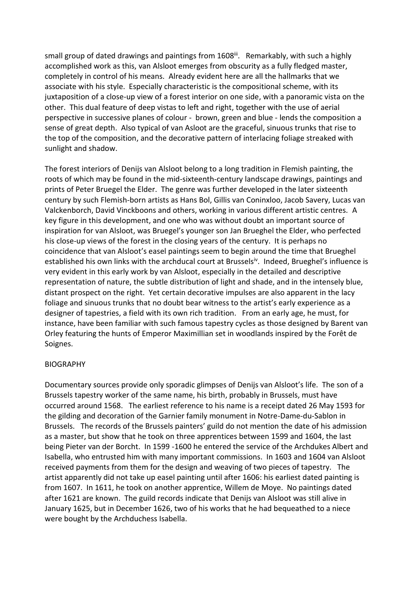small group of dated drawings and paintings from 1608<sup>iii</sup>. Remarkably, with such a highly accomplished work as this, van Alsloot emerges from obscurity as a fully fledged master, completely in control of his means. Already evident here are all the hallmarks that we associate with his style. Especially characteristic is the compositional scheme, with its juxtaposition of a close-up view of a forest interior on one side, with a panoramic vista on the other. This dual feature of deep vistas to left and right, together with the use of aerial perspective in successive planes of colour - brown, green and blue - lends the composition a sense of great depth. Also typical of van Asloot are the graceful, sinuous trunks that rise to the top of the composition, and the decorative pattern of interlacing foliage streaked with sunlight and shadow.

The forest interiors of Denijs van Alsloot belong to a long tradition in Flemish painting, the roots of which may be found in the mid-sixteenth-century landscape drawings, paintings and prints of Peter Bruegel the Elder. The genre was further developed in the later sixteenth century by such Flemish-born artists as Hans Bol, Gillis van Coninxloo, Jacob Savery, Lucas van Valckenborch, David Vinckboons and others, working in various different artistic centres. A key figure in this development, and one who was without doubt an important source of inspiration for van Alsloot, was Bruegel's younger son Jan Brueghel the Elder, who perfected his close-up views of the forest in the closing years of the century. It is perhaps no coincidence that van Alsloot's easel paintings seem to begin around the time that Brueghel established his own links with the archducal court at Brussels<sup>iv</sup>. Indeed, Brueghel's influence is very evident in this early work by van Alsloot, especially in the detailed and descriptive representation of nature, the subtle distribution of light and shade, and in the intensely blue, distant prospect on the right. Yet certain decorative impulses are also apparent in the lacy foliage and sinuous trunks that no doubt bear witness to the artist's early experience as a designer of tapestries, a field with its own rich tradition. From an early age, he must, for instance, have been familiar with such famous tapestry cycles as those designed by Barent van Orley featuring the hunts of Emperor Maximillian set in woodlands inspired by the Forêt de Soignes.

## **BIOGRAPHY**

Documentary sources provide only sporadic glimpses of Denijs van Alsloot's life. The son of a Brussels tapestry worker of the same name, his birth, probably in Brussels, must have occurred around 1568. The earliest reference to his name is a receipt dated 26 May 1593 for the gilding and decoration of the Garnier family monument in Notre-Dame-du-Sablon in Brussels. The records of the Brussels painters' guild do not mention the date of his admission as a master, but show that he took on three apprentices between 1599 and 1604, the last being Pieter van der Borcht. In 1599 -1600 he entered the service of the Archdukes Albert and Isabella, who entrusted him with many important commissions. In 1603 and 1604 van Alsloot received payments from them for the design and weaving of two pieces of tapestry. The artist apparently did not take up easel painting until after 1606: his earliest dated painting is from 1607. In 1611, he took on another apprentice, Willem de Moye. No paintings dated after 1621 are known. The guild records indicate that Denijs van Alsloot was still alive in January 1625, but in December 1626, two of his works that he had bequeathed to a niece were bought by the Archduchess Isabella.